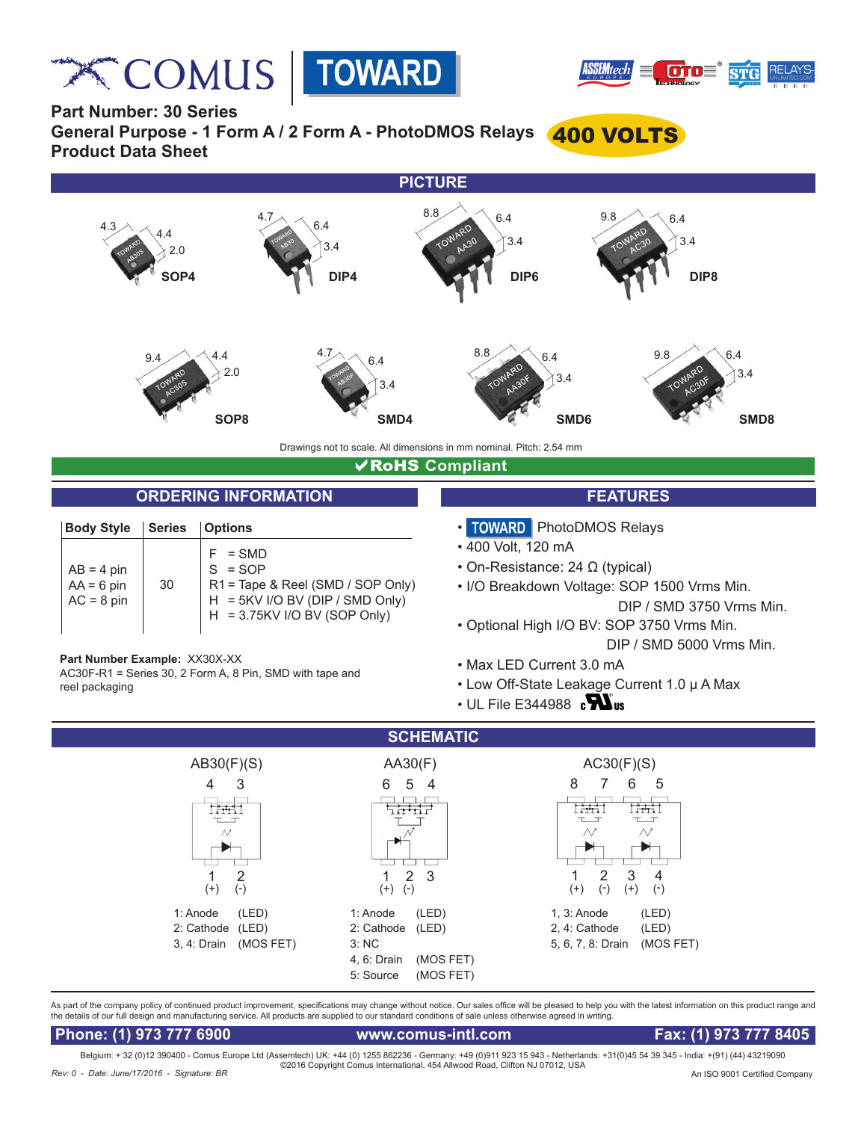**Relation COMUS** | TOWARD





**Part Number: 30 Series**

**General Purpose - 1 Form A / 2 Form A - PhotoDMOS Relays** 400 VOLTS **Product Data Sheet**



### **√RoHS** Compliant

## **ORDERING INFORMATION FEATURES**

| <b>Body Style</b>                            | <b>Series</b> | <i><b>Options</b></i>                                                                                                             |
|----------------------------------------------|---------------|-----------------------------------------------------------------------------------------------------------------------------------|
| $AB = 4$ pin<br>$AA = 6$ pin<br>$AC = 8$ pin | 30            | $=$ SMD<br>$S = SOP$<br>R1 = Tape & Reel (SMD / SOP Only)<br>$H = 5KV$ I/O BV (DIP / SMD Only)<br>$H = 3.75$ KV I/O BV (SOP Only) |

**Part Number Example:** XX30X-XX

AC30F-R1 = Series 30, 2 Form A, 8 Pin, SMD with tape and reel packaging

- TOWARD | PhotoDMOS Relays
- 400 Volt, 120 mA
- On-Resistance: 24 Ω (typical)
- I/O Breakdown Voltage: SOP 1500 Vrms Min. DIP / SMD 3750 Vrms Min.
- Optional High I/O BV: SOP 3750 Vrms Min. DIP / SMD 5000 Vrms Min.
- Max LED Current 3.0 mA
- Low Off-State Leakage Current 1.0 μ A Max
- $\cdot$  UL File E344988  $\,$   $\mathbf{N}$



As part of the company policy of continued product improvement, specifications may change without notice. Our sales office will be pleased to help you with the latest information on this product range and the details of our full design and manufacturing service. All products are supplied to our standard conditions of sale unless otherwise agreed in writing.

 **Phone: (1) 973 777 6900 www.comus-intl.com Fax: (1) 973 777 8405**

Belgium: + 32 (0)12 390400 - Comus Europe Ltd (Assemtech) UK: +44 (0) 1255 862236 - Germany: +49 (0)911 923 15 943 - Netherlands: +31(0)45 54 39 345 - India: +(91) (44) 43219090 ©2016 Copyright Comus International, 454 Allwood Road, Clifton NJ 07012, USA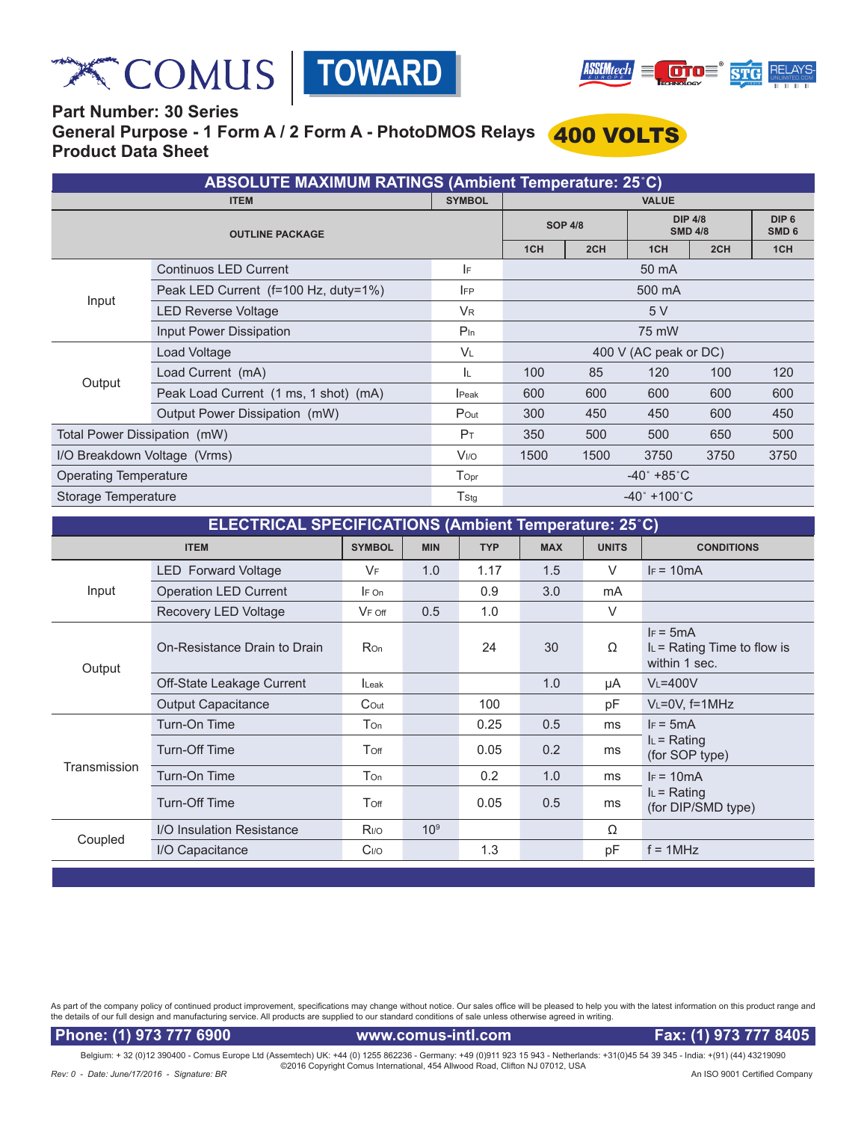





# **Part Number: 30 Series General Purpose - 1 Form A / 2 Form A - PhotoDMOS Relays** 400 VOLTS **Product Data Sheet**

| <b>ABSOLUTE MAXIMUM RATINGS (Ambient Temperature: 25°C)</b> |                                       |                        |                                 |      |                                  |      |                                      |  |  |
|-------------------------------------------------------------|---------------------------------------|------------------------|---------------------------------|------|----------------------------------|------|--------------------------------------|--|--|
| <b>ITEM</b>                                                 |                                       |                        | <b>VALUE</b>                    |      |                                  |      |                                      |  |  |
| <b>OUTLINE PACKAGE</b>                                      |                                       |                        | <b>SOP 4/8</b>                  |      | <b>DIP 4/8</b><br><b>SMD 4/8</b> |      | DIP <sub>6</sub><br>SMD <sub>6</sub> |  |  |
|                                                             |                                       |                        | 1CH                             | 2CH  | 1 <sub>CH</sub>                  | 2CH  | 1CH                                  |  |  |
|                                                             | <b>Continuos LED Current</b>          | IF                     | 50 mA                           |      |                                  |      |                                      |  |  |
|                                                             | Peak LED Current (f=100 Hz, duty=1%)  | <b>IFP</b>             | 500 mA                          |      |                                  |      |                                      |  |  |
| Input                                                       | <b>LED Reverse Voltage</b>            | <b>V<sub>R</sub></b>   | 5V                              |      |                                  |      |                                      |  |  |
|                                                             | Input Power Dissipation               | $P_{\text{In}}$        | 75 mW                           |      |                                  |      |                                      |  |  |
|                                                             | Load Voltage                          | <b>VL</b>              | 400 V (AC peak or DC)           |      |                                  |      |                                      |  |  |
| Output                                                      | Load Current (mA)                     | ΙL.                    | 100                             | 85   | 120                              | 100  | 120                                  |  |  |
|                                                             | Peak Load Current (1 ms, 1 shot) (mA) | <b>I</b> Peak          | 600                             | 600  | 600                              | 600  | 600                                  |  |  |
|                                                             | Output Power Dissipation (mW)         | Pout                   | 300                             | 450  | 450                              | 600  | 450                                  |  |  |
| Total Power Dissipation (mW)                                |                                       | $P_T$                  | 350                             | 500  | 500                              | 650  | 500                                  |  |  |
| I/O Breakdown Voltage (Vrms)                                |                                       | <b>V<sub>I/O</sub></b> | 1500                            | 1500 | 3750                             | 3750 | 3750                                 |  |  |
| <b>Operating Temperature</b>                                |                                       | Topr                   | $-40^{\circ}$ +85 $^{\circ}$ C  |      |                                  |      |                                      |  |  |
| Storage Temperature                                         |                                       | T <sub>Stg</sub>       | $-40^{\circ}$ +100 $^{\circ}$ C |      |                                  |      |                                      |  |  |

| ELECTRICAL SPECIFICATIONS (Ambient Temperature: 25°C) |                  |                 |            |            |              |                                                               |  |  |  |
|-------------------------------------------------------|------------------|-----------------|------------|------------|--------------|---------------------------------------------------------------|--|--|--|
| <b>ITEM</b>                                           |                  | <b>MIN</b>      | <b>TYP</b> | <b>MAX</b> | <b>UNITS</b> | <b>CONDITIONS</b>                                             |  |  |  |
| <b>LED Forward Voltage</b>                            | VF               | 1.0             | 1.17       | 1.5        | V            | $IF = 10mA$                                                   |  |  |  |
| <b>Operation LED Current</b>                          | $F$ On           |                 | 0.9        | 3.0        | mA           |                                                               |  |  |  |
| Recovery LED Voltage                                  | $V_F$ off        | 0.5             | 1.0        |            | V            |                                                               |  |  |  |
| On-Resistance Drain to Drain                          | <b>Ron</b>       |                 | 24         | 30         | Ω            | $IF = 5mA$<br>$I_L$ = Rating Time to flow is<br>within 1 sec. |  |  |  |
| Off-State Leakage Current                             | Leak             |                 |            | 1.0        | μA           | $V_L = 400V$                                                  |  |  |  |
| <b>Output Capacitance</b>                             | Cout             |                 | 100        |            | рF           | $V_L = 0V$ , f=1MHz                                           |  |  |  |
| Turn-On Time                                          | Ton              |                 | 0.25       | 0.5        | ms           | $IF = 5mA$                                                    |  |  |  |
| Turn-Off Time                                         | Toff             |                 | 0.05       | 0.2        | ms           | $I_L$ = Rating<br>(for SOP type)                              |  |  |  |
| Turn-On Time                                          | Ton              |                 | 0.2        | 1.0        | ms           | $F = 10mA$                                                    |  |  |  |
| Turn-Off Time                                         | Toff             |                 | 0.05       | 0.5        | ms           | $I_L$ = Rating<br>(for DIP/SMD type)                          |  |  |  |
| I/O Insulation Resistance                             | R <sub>I/O</sub> | 10 <sup>9</sup> |            |            | Ω            |                                                               |  |  |  |
| I/O Capacitance                                       | C <sub>I/O</sub> |                 | 1.3        |            | рF           | $f = 1MHz$                                                    |  |  |  |
|                                                       |                  | <b>SYMBOL</b>   |            |            |              |                                                               |  |  |  |

As part of the company policy of continued product improvement, specifications may change without notice. Our sales office will be pleased to help you with the latest information on this product range and<br>the details of ou

Phone: (1) 973 777 6900 www.comus-intl.com Fax: (1) 973 777 8405

Belgium: + 32 (0)12 390400 - Comus Europe Ltd (Assemtech) UK: +44 (0) 1255 862236 - Germany: +49 (0)911 923 15 943 - Netherlands: +31(0)45 54 39 345 - India: +(91) (44) 43219090<br>©2016 Copyright Comus International, 454 Al